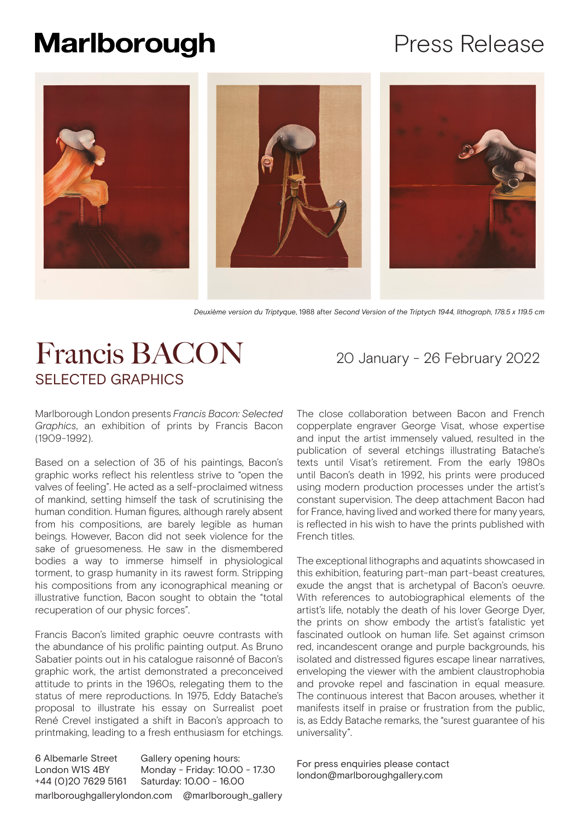# Press Release



*Deuxième version du Triptyque*, 1988 after *Second Version of the Triptych 1944, lithograph, 178.5 x 119.5 cm*

# Francis BACON 20 January - 26 February 2022 SELECTED GRAPHICS

Marlborough London presents *Francis Bacon: Selected Graphics*, an exhibition of prints by Francis Bacon (1909-1992).

Based on a selection of 35 of his paintings, Bacon's graphic works reflect his relentless strive to "open the valves of feeling". He acted as a self-proclaimed witness of mankind, setting himself the task of scrutinising the human condition. Human figures, although rarely absent from his compositions, are barely legible as human beings. However, Bacon did not seek violence for the sake of gruesomeness. He saw in the dismembered bodies a way to immerse himself in physiological torment, to grasp humanity in its rawest form. Stripping his compositions from any iconographical meaning or illustrative function, Bacon sought to obtain the "total recuperation of our physic forces".

Francis Bacon's limited graphic oeuvre contrasts with the abundance of his prolific painting output. As Bruno Sabatier points out in his catalogue raisonné of Bacon's graphic work, the artist demonstrated a preconceived attitude to prints in the 1960s, relegating them to the status of mere reproductions. In 1975, Eddy Batache's proposal to illustrate his essay on Surrealist poet René Crevel instigated a shift in Bacon's approach to printmaking, leading to a fresh enthusiasm for etchings.

6 Albemarle Street London W1S 4BY +44 (0)20 7629 5161 Gallery opening hours: Monday - Friday: 10.00 - 17.30 Saturday: 10.00 - 16.00 marlboroughgallerylondon.com @marlborough\_gallery

The close collaboration between Bacon and French copperplate engraver George Visat, whose expertise and input the artist immensely valued, resulted in the publication of several etchings illustrating Batache's texts until Visat's retirement. From the early 1980s until Bacon's death in 1992, his prints were produced using modern production processes under the artist's constant supervision. The deep attachment Bacon had for France, having lived and worked there for many years, is reflected in his wish to have the prints published with French titles.

The exceptional lithographs and aquatints showcased in this exhibition, featuring part-man part-beast creatures, exude the angst that is archetypal of Bacon's oeuvre. With references to autobiographical elements of the artist's life, notably the death of his lover George Dyer, the prints on show embody the artist's fatalistic yet fascinated outlook on human life. Set against crimson red, incandescent orange and purple backgrounds, his isolated and distressed figures escape linear narratives, enveloping the viewer with the ambient claustrophobia and provoke repel and fascination in equal measure. The continuous interest that Bacon arouses, whether it manifests itself in praise or frustration from the public, is, as Eddy Batache remarks, the "surest guarantee of his universality".

For press enquiries please contact london@marlboroughgallery.com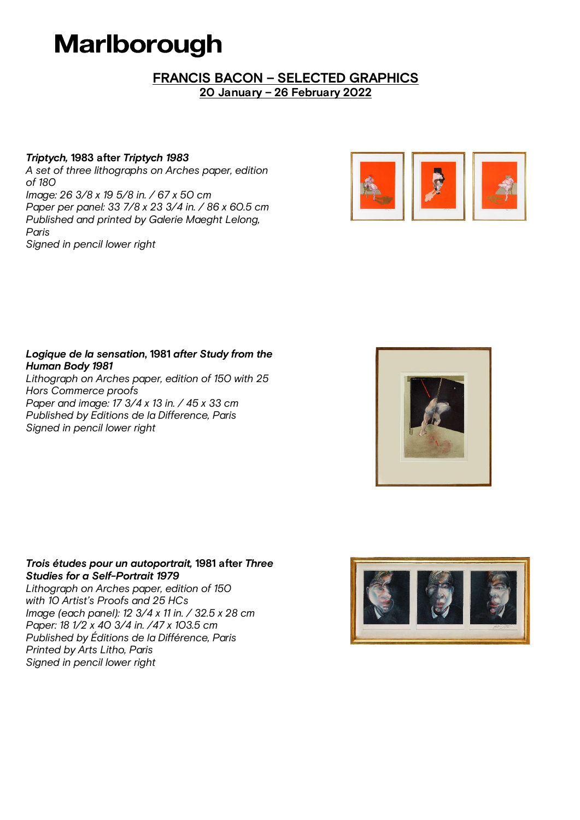## *FRANCIS BACON – SELECTED GRAPHICS 20 January – 26 February 2022*

### *Triptych, 1983 after Triptych 1983*

A set of three lithographs on Arches paper, edition of 180 Image: 26 3/8 x 19 5/8 in. / 67 x 50 cm Paper per panel: 33 7/8 x 23 3/4 in. / 86 x 60.5 cm Published and printed by Galerie Maeght Lelong, Paris Signed in pencil lower right



#### *Logique de la sensation, 1981 after Study from the Human Body 1981*

Lithograph on Arches paper, edition of 150 with 25 Hors Commerce proofs Paper and image: 17 3/4 x 13 in. / 45 x 33 cm Published by Editions de la Difference, Paris Signed in pencil lower right



### *Trois études pour un autoportrait, 1981 after Three Studies for a Self-Portrait 1979*

Lithograph on Arches paper, edition of 150 with 10 Artist's Proofs and 25 HCs Image (each panel): 12 3/4 x 11 in. / 32.5 x 28 cm Paper: 18 1/2 x 40 3/4 in. /47 x 103.5 cm Published by Éditions de la Différence, Paris Printed by Arts Litho, Paris Signed in pencil lower right

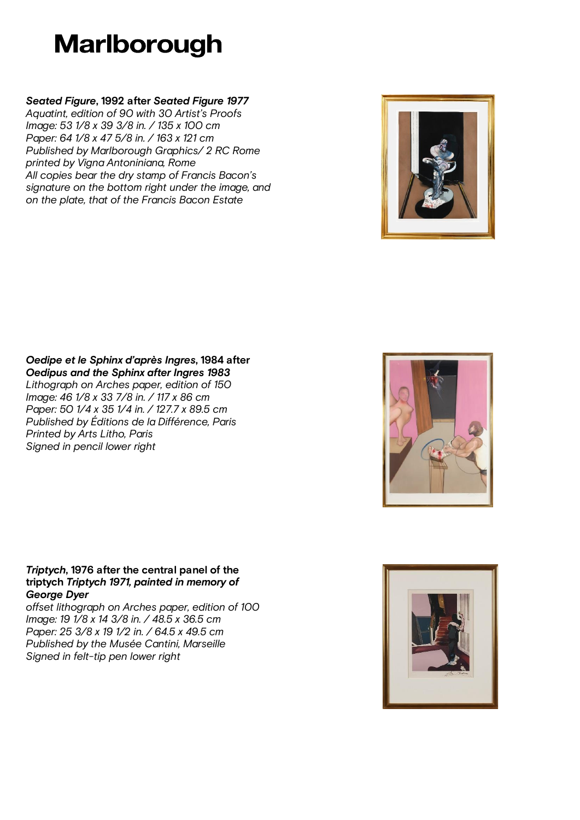## *Seated Figure, 1992 after Seated Figure 1977*

Aquatint, edition of 90 with 30 Artist's Proofs Image: 53 1/8 x 39 3/8 in. / 135 x 100 cm Paper: 64 1/8 x 47 5/8 in. / 163 x 121 cm Published by Marlborough Graphics/ 2 RC Rome printed by Vigna Antoniniana, Rome All copies bear the dry stamp of Francis Bacon's signature on the bottom right under the image, and on the plate, that of the Francis Bacon Estate



#### *Oedipe et le Sphinx d'après Ingres, 1984 after Oedipus and the Sphinx after Ingres 1983* Lithograph on Arches paper, edition of 150 Image: 46 1/8 x 33 7/8 in. / 117 x 86 cm Paper: 50 1/4 x 35 1/4 in. / 127.7 x 89.5 cm Published by Éditions de la Différence, Paris Printed by Arts Litho, Paris

Signed in pencil lower right



#### *Triptych, 1976 after the central panel of the triptych Triptych 1971, painted in memory of George Dyer*

offset lithograph on Arches paper, edition of 100 Image: 19 1/8 x 14 3/8 in. / 48.5 x 36.5 cm Paper: 25 3/8 x 19 1/2 in. / 64.5 x 49.5 cm Published by the Musée Cantini, Marseille Signed in felt-tip pen lower right

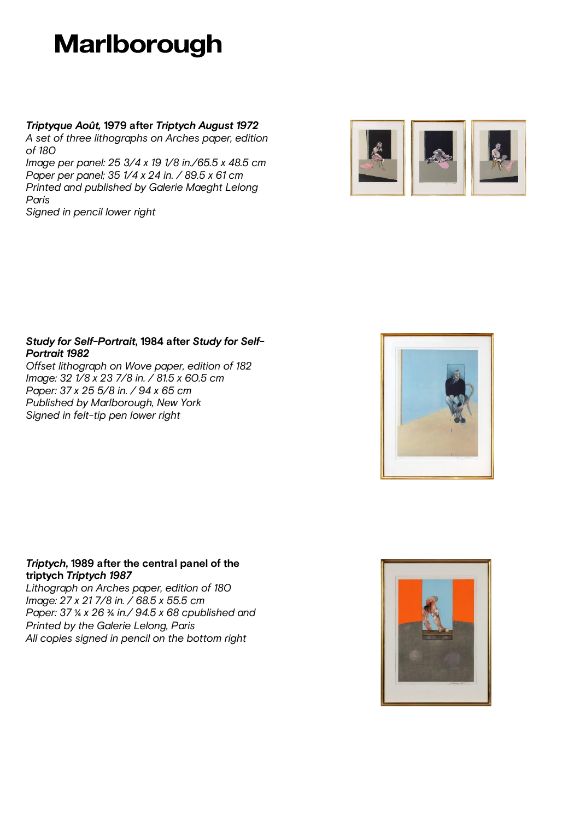*Triptyque Août, 1979 after Triptych August 1972*

A set of three lithographs on Arches paper, edition of 180

Image per panel: 25 3/4 x 19 1/8 in./65.5 x 48.5 cm Paper per panel; 35 1/4 x 24 in. / 89.5 x 61 cm Printed and published by Galerie Maeght Lelong Paris

Signed in pencil lower right



### *Study for Self-Portrait, 1984 after Study for Self-Portrait 1982*

Offset lithograph on Wove paper, edition of 182 Image: 32 1/8 x 23 7/8 in. / 81.5 x 60.5 cm Paper: 37 x 25 5/8 in. / 94 x 65 cm Published by Marlborough, New York Signed in felt-tip pen lower right



### *Triptych, 1989 after the central panel of the triptych Triptych 1987*

Lithograph on Arches paper, edition of 180 Image: 27 x 21 7/8 in. / 68.5 x 55.5 cm Paper: 37 ¼ x 26 ¾ in./ 94.5 x 68 cpublished and Printed by the Galerie Lelong, Paris All copies signed in pencil on the bottom right

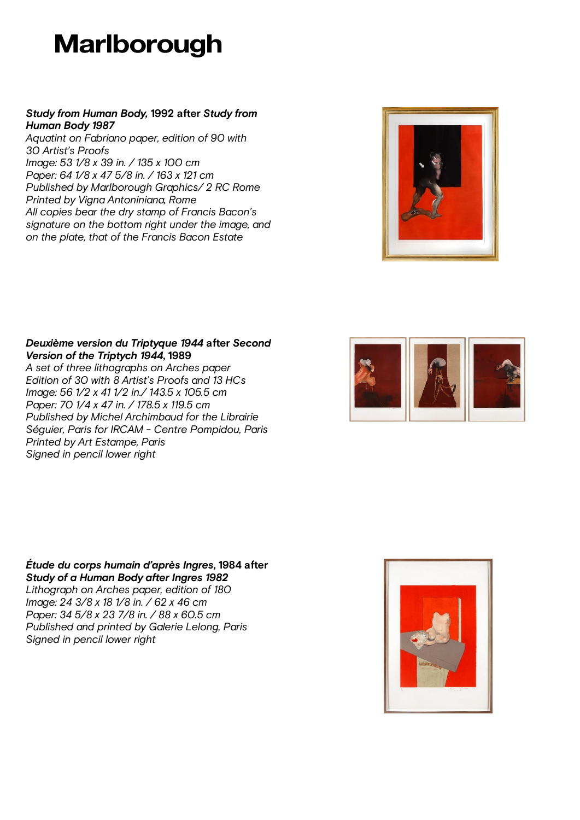### *Study from Human Body, 1992 after Study from Human Body 1987*

Aquatint on Fabriano paper, edition of 90 with 30 Artist's Proofs Image: 53 1/8 x 39 in. / 135 x 100 cm Paper: 64 1/8 x 47 5/8 in. / 163 x 121 cm Published by Marlborough Graphics/ 2 RC Rome Printed by Vigna Antoniniana, Rome All copies bear the dry stamp of Francis Bacon's signature on the bottom right under the image, and on the plate, that of the Francis Bacon Estate



#### *Deuxième version du Triptyque 1944 after Second Version of the Triptych 1944, 1989*

A set of three lithographs on Arches paper Edition of 30 with 8 Artist's Proofs and 13 HCs Image: 56 1/2 x 41 1/2 in./ 143.5 x 105.5 cm Paper: 70 1/4 x 47 in. / 178.5 x 119.5 cm Published by Michel Archimbaud for the Librairie Séguier, Paris for IRCAM - Centre Pompidou, Paris Printed by Art Estampe, Paris Signed in pencil lower right



*Étude du corps humain d'après Ingres, 1984 after Study of a Human Body after Ingres 1982* Lithograph on Arches paper, edition of 180 Image: 24 3/8 x 18 1/8 in. / 62 x 46 cm Paper: 34 5/8 x 23 7/8 in. / 88 x 60.5 cm Published and printed by Galerie Lelong, Paris Signed in pencil lower right